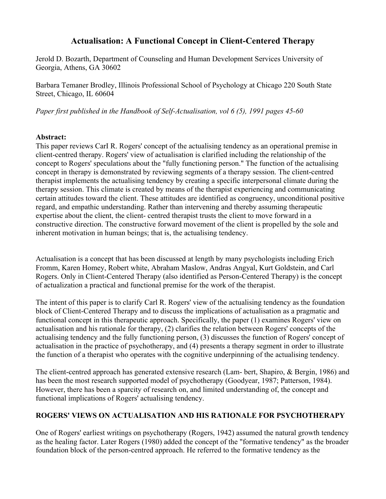# Actualisation: A Functional Concept in Client-Centered Therapy

Jerold D. Bozarth, Department of Counseling and Human Development Services University of Georgia, Athens, GA 30602

Barbara Temaner Brodley, Illinois Professional School of Psychology at Chicago 220 South State Street, Chicago, IL 60604

*Paper first published in the Handbook of Self-Actualisation, vol 6 (5), 1991 pages 45-60*

#### Abstract:

This paper reviews CarI R. Rogers' concept of the actualising tendency as an operational premise in client-centred therapy. Rogers' view of actualisation is clarified including the relationship of the concept to Rogers' speculations about the "fully functioning person." The function of the actualising concept in therapy is demonstrated by reviewing segments of a therapy session. The client-centred therapist implements the actualising tendency by creating a specific interpersonal climate during the therapy session. This climate is created by means of the therapist experiencing and communicating certain attitudes toward the client. These attitudes are identified as congruency, unconditional positive regard, and empathic understanding. Rather than intervening and thereby assuming therapeutic expertise about the client, the client- centred therapist trusts the client to move forward in a constructive direction. The constructive forward movement of the client is propelled by the sole and inherent motivation in human beings; that is, the actualising tendency.

Actualisation is a concept that has been discussed at length by many psychologists including Erich Fromm, Karen Homey, Robert white, Abraham Maslow, Andras Angyal, Kurt Goldstein, and Carl Rogers. Only in Client-Centered Therapy (also identified as Person-Centered Therapy) is the concept of actualization a practical and functional premise for the work of the therapist.

The intent of this paper is to clarify Carl R. Rogers' view of the actualising tendency as the foundation block of Client-Centered Therapy and to discuss the implications of actualisation as a pragmatic and functional concept in this therapeutic approach. Specifically, the paper (1) examines Rogers' view on actualisation and his rationale for therapy, (2) clarifies the relation between Rogers' concepts of the actualising tendency and the fully functioning person, (3) discusses the function of Rogers' concept of actualisation in the practice of psychotherapy, and (4) presents a therapy segment in order to illustrate the function of a therapist who operates with the cognitive underpinning of the actualising tendency.

The client-centred approach has generated extensive research (Lam- bert, Shapiro, & Bergin, 1986) and has been the most research supported model of psychotherapy (Goodyear, 1987; Patterson, 1984). However, there has been a sparcity of research on, and limited understanding of, the concept and functional implications of Rogers' actualising tendency.

# ROGERS' VIEWS ON ACTUALISATION AND HIS RATIONALE FOR PSYCHOTHERAPY

One of Rogers' earliest writings on psychotherapy (Rogers, 1942) assumed the natural growth tendency as the healing factor. Later Rogers (1980) added the concept of the "formative tendency" as the broader foundation block of the person-centred approach. He referred to the formative tendency as the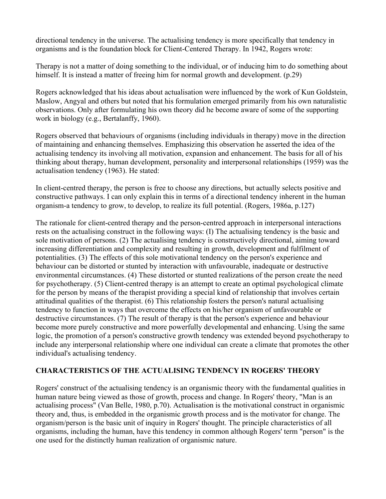directional tendency in the universe. The actualising tendency is more specifically that tendency in organisms and is the foundation block for Client-Centered Therapy. In 1942, Rogers wrote:

Therapy is not a matter of doing something to the individual, or of inducing him to do something about himself. It is instead a matter of freeing him for normal growth and development. (p.29)

Rogers acknowledged that his ideas about actualisation were influenced by the work of Kun Goldstein, Maslow, Angyal and others but noted that his formulation emerged primarily from his own naturalistic observations. Only after formulating his own theory did he become aware of some of the supporting work in biology (e.g., Bertalanffy, 1960).

Rogers observed that behaviours of organisms (including individuals in therapy) move in the direction of maintaining and enhancing themselves. Emphasizing this observation he asserted the idea of the actualising tendency its involving all motivation, expansion and enhancement. The basis for all of his thinking about therapy, human development, personality and interpersonal relationships (1959) was the actualisation tendency (1963). He stated:

In client-centred therapy, the person is free to choose any directions, but actually selects positive and constructive pathways. I can only explain this in terms of a directional tendency inherent in the human organism-a tendency to grow, to develop, to realize its full potential. (Rogers, 1986a, p.127)

The rationale for client-centred therapy and the person-centred approach in interpersonal interactions rests on the actualising construct in the following ways: (I) The actualising tendency is the basic and sole motivation of persons. (2) The actualising tendency is constructively directional, aiming toward increasing differentiation and complexity and resulting in growth, development and fulfilment of potentialities. (3) The effects of this sole motivational tendency on the person's experience and behaviour can be distorted or stunted by interaction with unfavourable, inadequate or destructive environmental circumstances. (4) These distorted or stunted realizations of the person create the need for psychotherapy. (5) Client-centred therapy is an attempt to create an optimal psychological climate for the person by means of the therapist providing a special kind of relationship that involves certain attitudinal qualities of the therapist. (6) This relationship fosters the person's natural actualising tendency to function in ways that overcome the effects on his/her organism of unfavourable or destructive circumstances. (7) The result of therapy is that the person's experience and behaviour become more purely constructive and more powerfully developmental and enhancing. Using the same logic, the promotion of a person's constructive growth tendency was extended beyond psychotherapy to include any interpersonal relationship where one individual can create a climate that promotes the other individual's actualising tendency.

## CHARACTERISTICS OF THE ACTUALISING TENDENCY IN ROGERS' THEORY

Rogers' construct of the actualising tendency is an organismic theory with the fundamental qualities in human nature being viewed as those of growth, process and change. In Rogers' theory, "Man is an actualising process" (Van Belle, 1980, p.70). Actualisation is the motivational construct in organismic theory and, thus, is embedded in the organismic growth process and is the motivator for change. The organism/person is the basic unit of inquiry in Rogers' thought. The principle characteristics of all organisms, including the human, have this tendency in common although Rogers' term "person" is the one used for the distinctly human realization of organismic nature.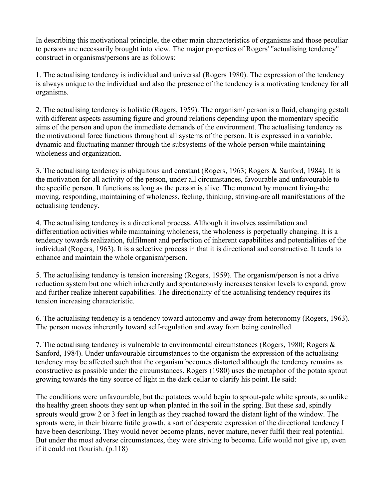In describing this motivational principle, the other main characteristics of organisms and those peculiar to persons are necessarily brought into view. The major properties of Rogers' "actualising tendency" construct in organisms/persons are as follows:

1. The actualising tendency is individual and universal (Rogers 1980). The expression of the tendency is always unique to the individual and also the presence of the tendency is a motivating tendency for all organisms.

2. The actualising tendency is holistic (Rogers, 1959). The organism/ person is a fluid, changing gestalt with different aspects assuming figure and ground relations depending upon the momentary specific aims of the person and upon the immediate demands of the environment. The actualising tendency as the motivational force functions throughout all systems of the person. It is expressed in a variable, dynamic and fluctuating manner through the subsystems of the whole person while maintaining wholeness and organization.

3. The actualising tendency is ubiquitous and constant (Rogers, 1963; Rogers & Sanford, 1984). It is the motivation for all activity of the person, under all circumstances, favourable and unfavourable to the specific person. It functions as long as the person is alive. The moment by moment living-the moving, responding, maintaining of wholeness, feeling, thinking, striving-are all manifestations of the actualising tendency.

4. The actualising tendency is a directional process. Although it involves assimilation and differentiation activities while maintaining wholeness, the wholeness is perpetually changing. It is a tendency towards realization, fulfilment and perfection of inherent capabilities and potentialities of the individual (Rogers, 1963). It is a selective process in that it is directional and constructive. It tends to enhance and maintain the whole organism/person.

5. The actualising tendency is tension increasing (Rogers, 1959). The organism/person is not a drive reduction system but one which inherently and spontaneously increases tension levels to expand, grow and further realize inherent capabilities. The directionality of the actualising tendency requires its tension increasing characteristic.

6. The actualising tendency is a tendency toward autonomy and away from heteronomy (Rogers, 1963). The person moves inherently toward self-regulation and away from being controlled.

7. The actualising tendency is vulnerable to environmental circumstances (Rogers, 1980; Rogers  $\&$ Sanford, 1984). Under unfavourable circumstances to the organism the expression of the actualising tendency may be affected such that the organism becomes distorted although the tendency remains as constructive as possible under the circumstances. Rogers (1980) uses the metaphor of the potato sprout growing towards the tiny source of light in the dark cellar to clarify his point. He said:

The conditions were unfavourable, but the potatoes would begin to sprout-pale white sprouts, so unlike the healthy green shoots they sent up when planted in the soil in the spring. But these sad, spindly sprouts would grow 2 or 3 feet in length as they reached toward the distant light of the window. The sprouts were, in their bizarre futile growth, a sort of desperate expression of the directional tendency I have been describing. They would never become plants, never mature, never fulfil their real potential. But under the most adverse circumstances, they were striving to become. Life would not give up, even if it could not flourish. (p.118)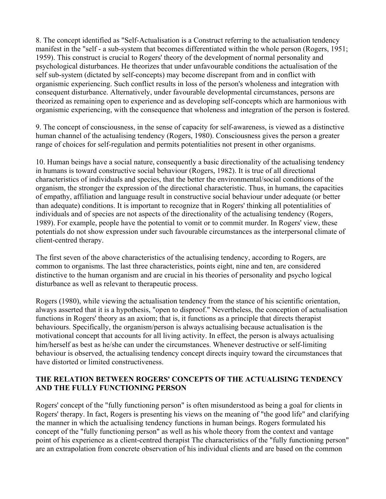8. The concept identified as "Self-Actualisation is a Construct referring to the actualisation tendency manifest in the "self - a sub-system that becomes differentiated within the whole person (Rogers, 1951; 1959). This construct is crucial to Rogers' theory of the development of normal personality and psychological disturbances. He theorizes that under unfavourable conditions the actualisation of the self sub-system (dictated by self-concepts) may become discrepant from and in conflict with organismic experiencing. Such conflict results in loss of the person's wholeness and integration with consequent disturbance. Alternatively, under favourable developmental circumstances, persons are theorized as remaining open to experience and as developing self-concepts which are harmonious with organismic experiencing, with the consequence that wholeness and integration of the person is fostered.

9. The concept of consciousness, in the sense of capacity for self-awareness, is viewed as a distinctive human channel of the actualising tendency (Rogers, 1980). Consciousness gives the person a greater range of choices for self-regulation and permits potentialities not present in other organisms.

10. Human beings have a social nature, consequently a basic directionality of the actualising tendency in humans is toward constructive social behaviour (Rogers, 1982). It is true of all directional characteristics of individuals and species, that the better the environmental/social conditions of the organism, the stronger the expression of the directional characteristic. Thus, in humans, the capacities of empathy, affiliation and language result in constructive social behaviour under adequate (or better than adequate) conditions. It is important to recognize that in Rogers' thinking all potentialities of individuals and of species are not aspects of the directionality of the actualising tendency (Rogers, 1989). For example, people have the potential to vomit or to commit murder. In Rogers' view, these potentials do not show expression under such favourable circumstances as the interpersonal climate of client-centred therapy.

The first seven of the above characteristics of the actualising tendency, according to Rogers, are common to organisms. The last three characteristics, points eight, nine and ten, are considered distinctive to the human organism and are crucial in his theories of personality and psycho logical disturbance as well as relevant to therapeutic process.

Rogers (1980), while viewing the actualisation tendency from the stance of his scientific orientation, always asserted that it is a hypothesis, "open to disproof." Nevertheless, the conception of actualisation functions in Rogers' theory as an axiom; that is, it functions as a principle that directs therapist behaviours. Specifically, the organism/person is always actualising because actualisation is the motivational concept that accounts for all living activity. In effect, the person is always actualising him/herself as best as he/she can under the circumstances. Whenever destructive or self-limiting behaviour is observed, the actualising tendency concept directs inquiry toward the circumstances that have distorted or limited constructiveness.

#### THE RELATION BETWEEN ROGERS' CONCEPTS OF THE ACTUALISING TENDENCY AND THE FULLY FUNCTIONING PERSON

Rogers' concept of the "fully functioning person" is often misunderstood as being a goal for clients in Rogers' therapy. In fact, Rogers is presenting his views on the meaning of "the good life" and clarifying the manner in which the actualising tendency functions in human beings. Rogers formulated his concept of the "fully functioning person" as well as his whole theory from the context and vantage point of his experience as a client-centred therapist The characteristics of the "fully functioning person" are an extrapolation from concrete observation of his individual clients and are based on the common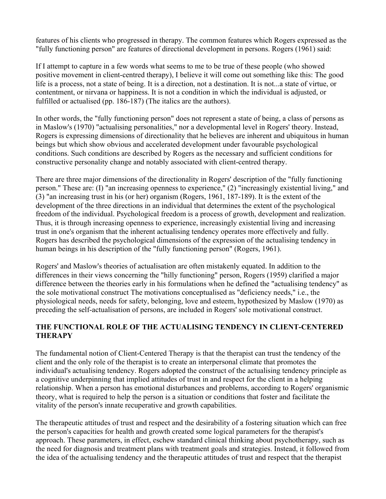features of his clients who progressed in therapy. The common features which Rogers expressed as the "fully functioning person" are features of directional development in persons. Rogers (1961) said:

If I attempt to capture in a few words what seems to me to be true of these people (who showed positive movement in client-centred therapy), I believe it will come out something like this: The good life is a process, not a state of being. It is a direction, not a destination. It is not...a state of virtue, or contentment, or nirvana or happiness. It is not a condition in which the individual is adjusted, or fulfilled or actualised (pp. 186-187) (The italics are the authors).

In other words, the "fully functioning person" does not represent a state of being, a class of persons as in Maslow's (1970) "actualising personalities," nor a developmental level in Rogers' theory. Instead, Rogers is expressing dimensions of directionality that he believes are inherent and ubiquitous in human beings but which show obvious and accelerated development under favourable psychological conditions. Such conditions are described by Rogers as the necessary and sufficient conditions for constructive personality change and notably associated with client-centred therapy.

There are three major dimensions of the directionality in Rogers' description of the "fully functioning person." These are: (I) "an increasing openness to experience," (2) "increasingly existential living," and (3) "an increasing trust in his (or her) organism (Rogers, 1961, 187-189). It is the extent of the development of the three directions in an individual that determines the extent of the psychological freedom of the individual. Psychological freedom is a process of growth, development and realization. Thus, it is through increasing openness to experience, increasingly existential living and increasing trust in one's organism that the inherent actualising tendency operates more effectively and fully. Rogers has described the psychological dimensions of the expression of the actualising tendency in human beings in his description of the "fully functioning person" (Rogers, 1961).

Rogers' and Maslow's theories of actualisation are often mistakenly equated. In addition to the differences in their views concerning the "hilly functioning" person, Rogers (1959) clarified a major difference between the theories early in his formulations when he defined the "actualising tendency" as the sole motivational construct The motivations conceptualised as "deficiency needs," i.e., the physiological needs, needs for safety, belonging, love and esteem, hypothesized by Maslow (1970) as preceding the self-actualisation of persons, are included in Rogers' sole motivational construct.

#### THE FUNCTIONAL ROLE OF THE ACTUALISING TENDENCY IN CLIENT-CENTERED **THERAPY**

The fundamental notion of Client-Centered Therapy is that the therapist can trust the tendency of the client and the only role of the therapist is to create an interpersonal climate that promotes the individual's actualising tendency. Rogers adopted the construct of the actualising tendency principle as a cognitive underpinning that implied attitudes of trust in and respect for the client in a helping relationship. When a person has emotional disturbances and problems, according to Rogers' organismic theory, what is required to help the person is a situation or conditions that foster and facilitate the vitality of the person's innate recuperative and growth capabilities.

The therapeutic attitudes of trust and respect and the desirability of a fostering situation which can free the person's capacities for health and growth created some logical parameters for the therapist's approach. These parameters, in effect, eschew standard clinical thinking about psychotherapy, such as the need for diagnosis and treatment plans with treatment goals and strategies. Instead, it followed from the idea of the actualising tendency and the therapeutic attitudes of trust and respect that the therapist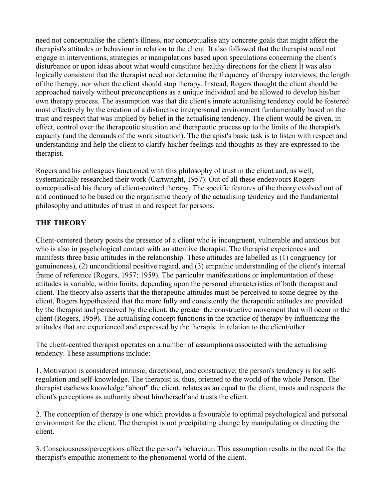need not conceptualise the client's illness, nor conceptualise any concrete goals that might affect the therapist's attitudes or behaviour in relation to the client. It also followed that the therapist need not engage in interventions, strategies or manipulations based upon speculations concerning the client's disturbance or upon ideas about what would constitute healthy directions for the client It was also logically consistent that the therapist need not determine the frequency of therapy interviews, the length of the therapy, nor when the client should stop therapy. Instead, Rogers thought the client should be approached naively without preconceptions as a unique individual and be allowed to develop his/her own therapy process. The assumption was that die client's innate actualising tendency could be fostered most effectively by the creation of a distinctive interpersonal environment fundamentally based on the trust and respect that was implied by belief in the actualising tendency. The client would be given, in effect, control over the therapeutic situation and therapeutic process up to the limits of the therapist's capacity (and the demands of the work situation). The therapist's basic task is to listen with respect and understanding and help the client to clarify his/her feelings and thoughts as they are expressed to the therapist.

Rogers and his colleagues functioned with this philosophy of trust in the client and, as well, systematically researched their work (Cartwright, 1957). Out of all these endeavours Rogers conceptualised his theory of client-centred therapy. The specific features of the theory evolved out of and continued to be based on the organismic theory of the actualising tendency and the fundamental philosophy and attitudes of trust in and respect for persons.

## THE THEORY

Client-centered theory posits the presence of a client who is incongruent, vulnerable and anxious but who is also in psychological contact with an attentive therapist. The therapist experiences and manifests three basic attitudes in the relationship. These attitudes are labelled as (1) congruency (or genuineness), (2) unconditional positive regard, and (3) empathic understanding of the client's internal frame of reference (Rogers, 1957; 1959). The particular manifestations or implementation of these attitudes is variable, within limits, depending upon the personal characteristics of both therapist and client. The theory also asserts that the therapeutic attitudes must be perceived to some degree by the client, Rogers hypothesized that the more fully and consistently the therapeutic attitudes are provided by the therapist and perceived by the client, the greater the constructive movement that will occur in the client (Rogers, 1959). The actualising concept functions in the practice of therapy by influencing the attitudes that are experienced and expressed by the therapist in relation to the client/other.

The client-centred therapist operates on a number of assumptions associated with the actualising tendency. These assumptions include:

1. Motivation is considered intrinsic, directional, and constructive; the person's tendency is for selfregulation and self-knowledge. The therapist is, thus, oriented to the world of the whole Person. The therapist eschews knowledge "about" the client, relates as an equal to the client, trusts and respects the client's perceptions as authority about him/herself and trusts the client.

2. The conception of therapy is one which provides a favourable to optimal psychological and personal environment for the client. The therapist is not precipitating change by manipulating or directing the client.

3. Consciousness/perceptions affect the person's behaviour. This assumption results in the need for the therapist's empathic atonement to the phenomenal world of the client.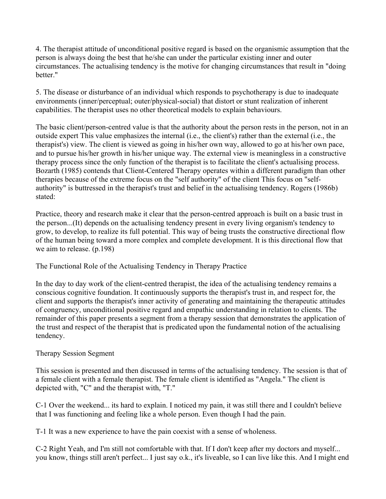4. The therapist attitude of unconditional positive regard is based on the organismic assumption that the person is always doing the best that he/she can under the particular existing inner and outer circumstances. The actualising tendency is the motive for changing circumstances that result in "doing hetter."

5. The disease or disturbance of an individual which responds to psychotherapy is due to inadequate environments (inner/perceptual; outer/physical-social) that distort or stunt realization of inherent capabilities. The therapist uses no other theoretical models to explain behaviours.

The basic client/person-centred value is that the authority about the person rests in the person, not in an outside expert This value emphasizes the internal (i.e., the client's) rather than the external (i.e., the therapist's) view. The client is viewed as going in his/her own way, allowed to go at his/her own pace, and to pursue his/her growth in his/her unique way. The external view is meaningless in a constructive therapy process since the only function of the therapist is to facilitate the client's actualising process. Bozarth (1985) contends that Client-Centered Therapy operates within a different paradigm than other therapies because of the extreme focus on the "self authority" of the client This focus on "selfauthority" is buttressed in the therapist's trust and belief in the actualising tendency. Rogers (1986b) stated:

Practice, theory and research make it clear that the person-centred approach is built on a basic trust in the person...(It) depends on the actualising tendency present in every living organism's tendency to grow, to develop, to realize its full potential. This way of being trusts the constructive directional flow of the human being toward a more complex and complete development. It is this directional flow that we aim to release. (p.198)

The Functional Role of the Actualising Tendency in Therapy Practice

In the day to day work of the client-centred therapist, the idea of the actualising tendency remains a conscious cognitive foundation. It continuously supports the therapist's trust in, and respect for, the client and supports the therapist's inner activity of generating and maintaining the therapeutic attitudes of congruency, unconditional positive regard and empathic understanding in relation to clients. The remainder of this paper presents a segment from a therapy session that demonstrates the application of the trust and respect of the therapist that is predicated upon the fundamental notion of the actualising tendency.

## Therapy Session Segment

This session is presented and then discussed in terms of the actualising tendency. The session is that of a female client with a female therapist. The female client is identified as "Angela." The client is depicted with, "C" and the therapist with, "T."

C-1 Over the weekend... its hard to explain. I noticed my pain, it was still there and I couldn't believe that I was functioning and feeling like a whole person. Even though I had the pain.

T-1 It was a new experience to have the pain coexist with a sense of wholeness.

C-2 Right Yeah, and I'm still not comfortable with that. If I don't keep after my doctors and myself... you know, things still aren't perfect... I just say o.k., it's liveable, so I can live like this. And I might end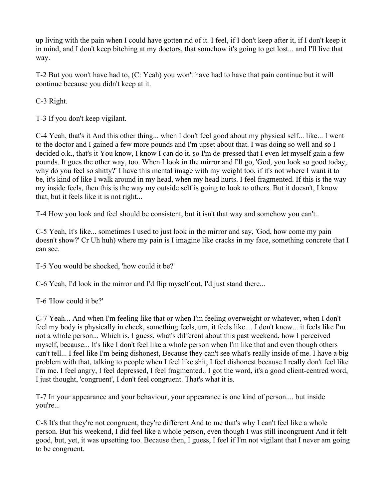up living with the pain when I could have gotten rid of it. I feel, if I don't keep after it, if I don't keep it in mind, and I don't keep bitching at my doctors, that somehow it's going to get lost... and I'll live that way.

T-2 But you won't have had to, (C: Yeah) you won't have had to have that pain continue but it will continue because you didn't keep at it.

C-3 Right.

T-3 If you don't keep vigilant.

C-4 Yeah, that's it And this other thing... when I don't feel good about my physical self... like... I went to the doctor and I gained a few more pounds and I'm upset about that. I was doing so well and so I decided o.k., that's it You know, I know I can do it, so I'm de-pressed that I even let myself gain a few pounds. It goes the other way, too. When I look in the mirror and I'll go, 'God, you look so good today, why do you feel so shitty?' I have this mental image with my weight too, if it's not where I want it to be, it's kind of like I walk around in my head, when my head hurts. I feel fragmented. If this is the way my inside feels, then this is the way my outside self is going to look to others. But it doesn't, I know that, but it feels like it is not right...

T-4 How you look and feel should be consistent, but it isn't that way and somehow you can't..

C-5 Yeah, It's like... sometimes I used to just look in the mirror and say, 'God, how come my pain doesn't show?' Cr Uh huh) where my pain is I imagine like cracks in my face, something concrete that I can see.

T-5 You would be shocked, 'how could it be?'

C-6 Yeah, I'd look in the mirror and I'd flip myself out, I'd just stand there...

T-6 'How could it be?'

C-7 Yeah... And when I'm feeling like that or when I'm feeling overweight or whatever, when I don't feel my body is physically in check, something feels, um, it feels like.... I don't know... it feels like I'm not a whole person... Which is, I guess, what's different about this past weekend, how I perceived myself, because... It's like I don't feel like a whole person when I'm like that and even though others can't tell... I feel like I'm being dishonest, Because they can't see what's really inside of me. I have a big problem with that, talking to people when I feel like shit, I feel dishonest because I really don't feel like I'm me. I feel angry, I feel depressed, I feel fragmented.. I got the word, it's a good client-centred word, I just thought, 'congruent', I don't feel congruent. That's what it is.

T-7 In your appearance and your behaviour, your appearance is one kind of person.... but inside you're...

C-8 It's that they're not congruent, they're different And to me that's why I can't feel like a whole person. But 'his weekend, I did feel like a whole person, even though I was still incongruent And it felt good, but, yet, it was upsetting too. Because then, I guess, I feel if I'm not vigilant that I never am going to be congruent.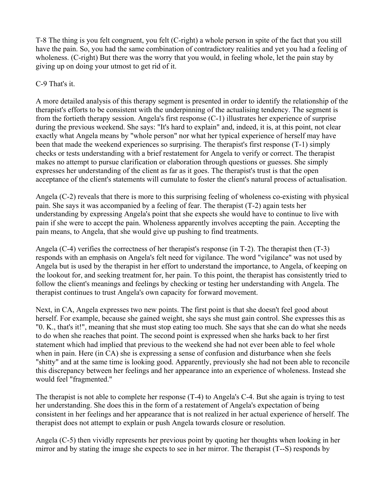T-8 The thing is you felt congruent, you felt (C-right) a whole person in spite of the fact that you still have the pain. So, you had the same combination of contradictory realities and yet you had a feeling of wholeness. (C-right) But there was the worry that you would, in feeling whole, let the pain stay by giving up on doing your utmost to get rid of it.

#### C-9 That's it.

A more detailed analysis of this therapy segment is presented in order to identify the relationship of the therapist's efforts to be consistent with the underpinning of the actualising tendency. The segment is from the fortieth therapy session. Angela's first response (C-1) illustrates her experience of surprise during the previous weekend. She says: "It's hard to explain" and, indeed, it is, at this point, not clear exactly what Angela means by "whole person" nor what her typical experience of herself may have been that made the weekend experiences so surprising. The therapist's first response (T-1) simply checks or tests understanding with a brief restatement for Angela to verify or correct. The therapist makes no attempt to pursue clarification or elaboration through questions or guesses. She simply expresses her understanding of the client as far as it goes. The therapist's trust is that the open acceptance of the client's statements will cumulate to foster the client's natural process of actualisation.

Angela (C-2) reveals that there is more to this surprising feeling of wholeness co-existing with physical pain. She says it was accompanied by a feeling of fear. The therapist (T-2) again tests her understanding by expressing Angela's point that she expects she would have to continue to live with pain if she were to accept the pain. Wholeness apparently involves accepting the pain. Accepting the pain means, to Angela, that she would give up pushing to find treatments.

Angela (C-4) verifies the correctness of her therapist's response (in T-2). The therapist then (T-3) responds with an emphasis on Angela's felt need for vigilance. The word "vigilance" was not used by Angela but is used by the therapist in her effort to understand the importance, to Angela, of keeping on the lookout for, and seeking treatment for, her pain. To this point, the therapist has consistently tried to follow the client's meanings and feelings by checking or testing her understanding with Angela. The therapist continues to trust Angela's own capacity for forward movement.

Next, in CA, Angela expresses two new points. The first point is that she doesn't feel good about herself. For example, because she gained weight, she says she must gain control. She expresses this as "0. K., that's it!", meaning that she must stop eating too much. She says that she can do what she needs to do when she reaches that point. The second point is expressed when she harks back to her first statement which had implied that previous to the weekend she had not ever been able to feel whole when in pain. Here (in CA) she is expressing a sense of confusion and disturbance when she feels "shitty" and at the same time is looking good. Apparently, previously she had not been able to reconcile this discrepancy between her feelings and her appearance into an experience of wholeness. Instead she would feel "fragmented."

The therapist is not able to complete her response (T-4) to Angela's C-4. But she again is trying to test her understanding. She does this in the form of a restatement of Angela's expectation of being consistent in her feelings and her appearance that is not realized in her actual experience of herself. The therapist does not attempt to explain or push Angela towards closure or resolution.

Angela (C-5) then vividly represents her previous point by quoting her thoughts when looking in her mirror and by stating the image she expects to see in her mirror. The therapist (T--S) responds by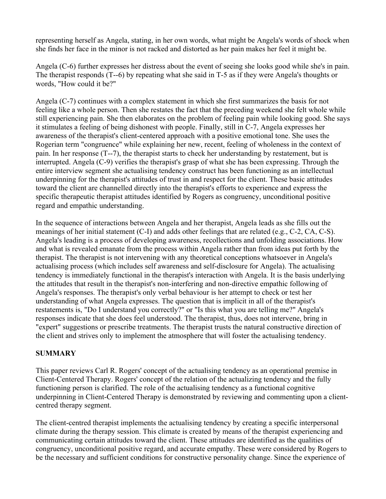representing herself as Angela, stating, in her own words, what might be Angela's words of shock when she finds her face in the minor is not racked and distorted as her pain makes her feel it might be.

Angela (C-6) further expresses her distress about the event of seeing she looks good while she's in pain. The therapist responds (T--6) by repeating what she said in T-5 as if they were Angela's thoughts or words, "How could it be?"

Angela (C-7) continues with a complex statement in which she first summarizes the basis for not feeling like a whole person. Then she restates the fact that the preceding weekend she felt whole while still experiencing pain. She then elaborates on the problem of feeling pain while looking good. She says it stimulates a feeling of being dishonest with people. Finally, still in C-7, Angela expresses her awareness of the therapist's client-centered approach with a positive emotional tone. She uses the Rogerian term "congruence" while explaining her new, recent, feeling of wholeness in the context of pain. In her response (T--7), the therapist starts to check her understanding by restatement, but is interrupted. Angela (C-9) verifies the therapist's grasp of what she has been expressing. Through the entire interview segment she actualising tendency construct has been functioning as an intellectual underpinning for the therapist's attitudes of trust in and respect for the client. These basic attitudes toward the client are channelled directly into the therapist's efforts to experience and express the specific therapeutic therapist attitudes identified by Rogers as congruency, unconditional positive regard and empathic understanding.

In the sequence of interactions between Angela and her therapist, Angela leads as she fills out the meanings of her initial statement (C-I) and adds other feelings that are related (e.g., C-2, CA, C-S). Angela's leading is a process of developing awareness, recollections and unfolding associations. How and what is revealed emanate from the process within Angela rather than from ideas put forth by the therapist. The therapist is not intervening with any theoretical conceptions whatsoever in Angela's actualising process (which includes self awareness and self-disclosure for Angela). The actualising tendency is immediately functional in the therapist's interaction with Angela. It is the basis underlying the attitudes that result in the therapist's non-interfering and non-directive empathic following of Angela's responses. The therapist's only verbal behaviour is her attempt to check or test her understanding of what Angela expresses. The question that is implicit in all of the therapist's restatements is, "Do I understand you correctly?" or "Is this what you are telling me?" Angela's responses indicate that she does feel understood. The therapist, thus, does not intervene, bring in "expert" suggestions or prescribe treatments. The therapist trusts the natural constructive direction of the client and strives only to implement the atmosphere that will foster the actualising tendency.

## **SUMMARY**

This paper reviews Carl R. Rogers' concept of the actualising tendency as an operational premise in Client-Centered Therapy. Rogers' concept of the relation of the actualizing tendency and the fully functioning person is clarified. The role of the actualising tendency as a functional cognitive underpinning in Client-Centered Therapy is demonstrated by reviewing and commenting upon a clientcentred therapy segment.

The client-centred therapist implements the actualising tendency by creating a specific interpersonal climate during the therapy session. This climate is created by means of the therapist experiencing and communicating certain attitudes toward the client. These attitudes are identified as the qualities of congruency, unconditional positive regard, and accurate empathy. These were considered by Rogers to be the necessary and sufficient conditions for constructive personality change. Since the experience of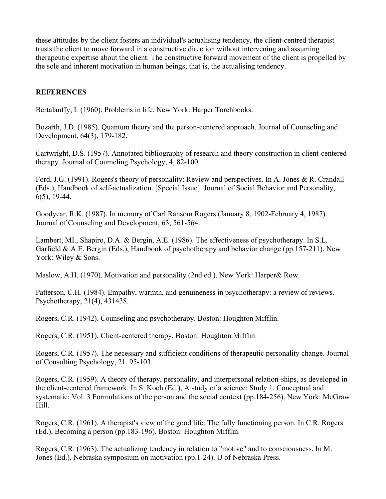these attitudes by the client fosters an individual's actualising tendency, the client-centred therapist trusts the client to move forward in a constructive direction without intervening and assuming therapeutic expertise about the client. The constructive forward movement of the client is propelled by the sole and inherent motivation in human beings; that is, the actualising tendency.

#### **REFERENCES**

Bertalanffy, L (1960). Problems in life. New York: Harper Torchbooks.

Bozarth, J.D. (1985). Quantum theory and the person-centered approach. Journal of Counseling and Development, 64(3), 179-182.

Cartwright, D.S. (1957). Annotated bibliography of research and theory construction in client-centered therapy. Journal of Coumeling Psychology, 4, 82-100.

Ford, J.G. (1991). Rogers's theory of personality: Review and perspectives. In A. Jones & R. Crandall (Eds.), Handbook of self-actualization. [Special Issue]. Journal of Social Behavior and Personality, 6(5), 19-44.

Goodyear, R.K. (1987). In memory of Carl Ransom Rogers (January 8, 1902-February 4, 1987). Journal of Counseling and Development, 63, 561-564.

Lambert, MI., Shapiro, D.A. & Bergin, A.E. (1986). The effectiveness of psychotherapy. In S.L. Garfield & A.E. Bergin (Eds.), Handbook of psychotherapy and behavior change (pp.157-211). New York: Wiley & Sons.

Maslow, A.H. (1970). Motivation and personality (2nd ed.). New York: Harper& Row.

Patterson, C.H. (1984). Empathy, warmth, and genuineness in psychotherapy: a review of reviews. Psychotherapy, 21(4), 431438.

Rogers, C.R. (1942). Counseling and psychotherapy. Boston: Houghton Mifflin.

Rogers, C.R. (1951). Client-centered therapy. Boston: Houghton Mifflin.

Rogers, C.R. (1957). The necessary and sufficient conditions of therapeutic personality change. Journal of Consulting Psychology, 21, 95-103.

Rogers, C.R. (1959). A theory of therapy, personality, and interpersonal relation-ships, as developed in the client-centered framework. In S. Koch (Ed.), A study of a science: Study 1. Conceptual and systematic: Vol. 3 Formulations of the person and the social context (pp.184-256). New York: McGraw Hill.

Rogers, C.R. (1961). A therapist's view of the good life: The fully functioning person. In C.R. Rogers (Ed.), Becoming a person (pp.183-196). Boston: Houghton Mifflin.

Rogers, C.R. (1963). The actualizing tendency in relation to "motive" and to consciousness. In M. Jones (Ed.), Nebraska symposium on motivation (pp.1-24). U of Nebraska Press.